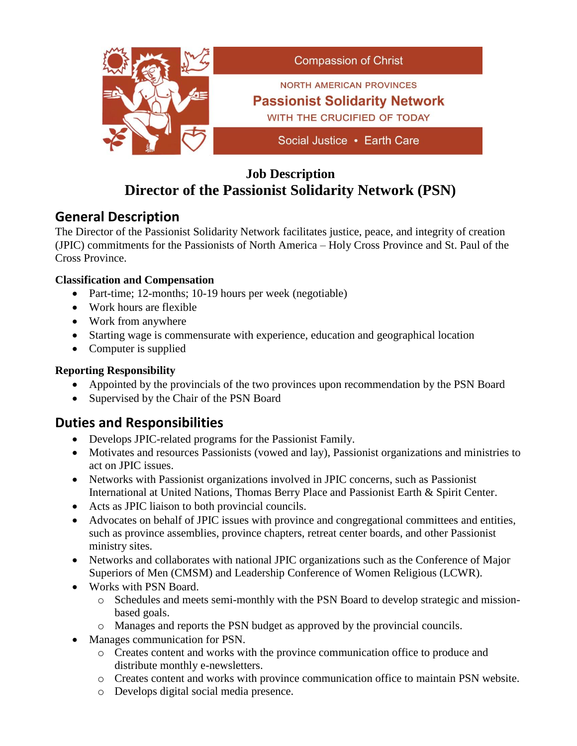

## **Job Description Director of the Passionist Solidarity Network (PSN)**

## **General Description**

The Director of the Passionist Solidarity Network facilitates justice, peace, and integrity of creation (JPIC) commitments for the Passionists of North America – Holy Cross Province and St. Paul of the Cross Province.

#### **Classification and Compensation**

- Part-time; 12-months; 10-19 hours per week (negotiable)
- Work hours are flexible
- Work from anywhere
- Starting wage is commensurate with experience, education and geographical location
- Computer is supplied

#### **Reporting Responsibility**

- Appointed by the provincials of the two provinces upon recommendation by the PSN Board
- Supervised by the Chair of the PSN Board

# **Duties and Responsibilities**

- Develops JPIC-related programs for the Passionist Family.
- Motivates and resources Passionists (vowed and lay), Passionist organizations and ministries to act on JPIC issues.
- Networks with Passionist organizations involved in JPIC concerns, such as Passionist International at United Nations, Thomas Berry Place and Passionist Earth & Spirit Center.
- Acts as JPIC liaison to both provincial councils.
- Advocates on behalf of JPIC issues with province and congregational committees and entities, such as province assemblies, province chapters, retreat center boards, and other Passionist ministry sites.
- Networks and collaborates with national JPIC organizations such as the Conference of Major Superiors of Men (CMSM) and Leadership Conference of Women Religious (LCWR).
- Works with PSN Board.
	- o Schedules and meets semi-monthly with the PSN Board to develop strategic and missionbased goals.
	- o Manages and reports the PSN budget as approved by the provincial councils.
- Manages communication for PSN.
	- o Creates content and works with the province communication office to produce and distribute monthly e-newsletters.
	- o Creates content and works with province communication office to maintain PSN website.
	- o Develops digital social media presence.